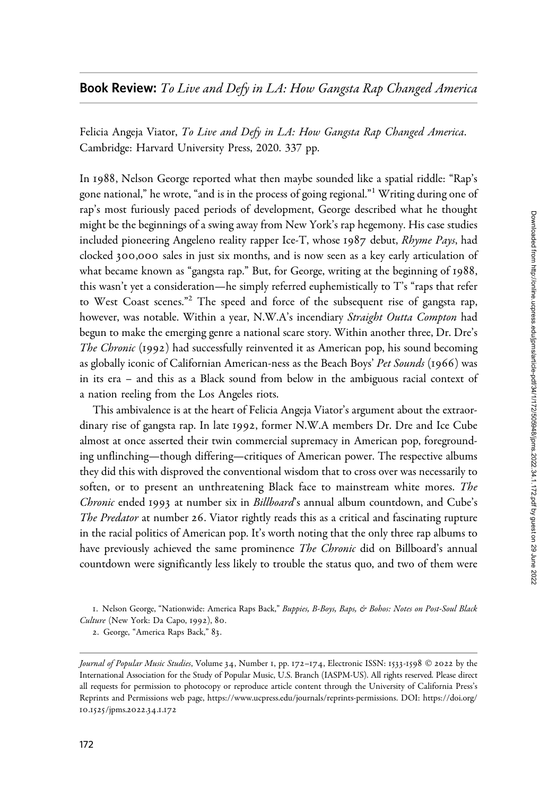## **Book Review:** To Live and Defy in LA: How Gangsta Rap Changed America

Felicia Angeja Viator, To Live and Defy in LA: How Gangsta Rap Changed America. Cambridge: Harvard University Press, 2020. 337 pp.

In 1988, Nelson George reported what then maybe sounded like a spatial riddle: "Rap's gone national," he wrote, "and is in the process of going regional."<sup>1</sup> Writing during one of rap's most furiously paced periods of development, George described what he thought might be the beginnings of a swing away from New York's rap hegemony. His case studies included pioneering Angeleno reality rapper Ice-T, whose 1987 debut, Rhyme Pays, had clocked 300,000 sales in just six months, and is now seen as a key early articulation of what became known as "gangsta rap." But, for George, writing at the beginning of 1988, this wasn't yet a consideration—he simply referred euphemistically to T's "raps that refer to West Coast scenes."<sup>2</sup> The speed and force of the subsequent rise of gangsta rap, however, was notable. Within a year, N.W.A's incendiary Straight Outta Compton had begun to make the emerging genre a national scare story. Within another three, Dr. Dre's The Chronic (1992) had successfully reinvented it as American pop, his sound becoming as globally iconic of Californian American-ness as the Beach Boys' Pet Sounds (1966) was in its era – and this as a Black sound from below in the ambiguous racial context of a nation reeling from the Los Angeles riots.

This ambivalence is at the heart of Felicia Angeja Viator's argument about the extraordinary rise of gangsta rap. In late 1992, former N.W.A members Dr. Dre and Ice Cube almost at once asserted their twin commercial supremacy in American pop, foregrounding unflinching—though differing—critiques of American power. The respective albums they did this with disproved the conventional wisdom that to cross over was necessarily to soften, or to present an unthreatening Black face to mainstream white mores. The Chronic ended 1993 at number six in Billboard's annual album countdown, and Cube's The Predator at number 26. Viator rightly reads this as a critical and fascinating rupture in the racial politics of American pop. It's worth noting that the only three rap albums to have previously achieved the same prominence *The Chronic* did on Billboard's annual countdown were significantly less likely to trouble the status quo, and two of them were

1. Nelson George, "Nationwide: America Raps Back," Buppies, B-Boys, Baps, & Bohos: Notes on Post-Soul Black Culture (New York: Da Capo, 1992), 80.

2. George, "America Raps Back," 83.

Journal of Popular Music Studies, Volume 34, Number 1, pp. 172–174, Electronic ISSN: 1533-1598 © 2022 by the International Association for the Study of Popular Music, U.S. Branch (IASPM-US). All rights reserved. Please direct all requests for permission to photocopy or reproduce article content through the University of California Press's Reprints and Permissions web page, [https://www.ucpress.edu/journals/reprints-permissions.](https://www.ucpress.edu/journals/reprints-permissions) [DOI: https://doi.org/](https://doi.org/10.1525/jpms.2022.34.1.172) 10.1525[/jpms.](https://doi.org/10.1525/jpms.2022.34.1.172)2022.34.1.172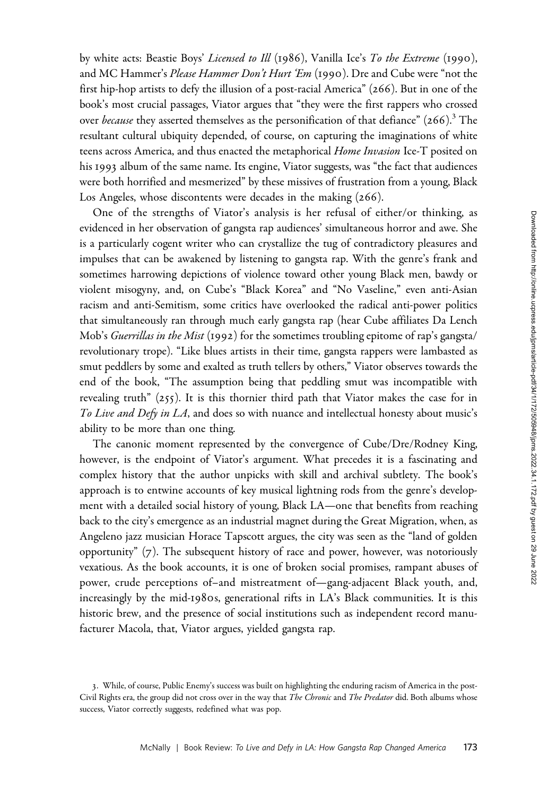by white acts: Beastie Boys' *Licensed to Ill* (1986), Vanilla Ice's To the Extreme (1990), and MC Hammer's Please Hammer Don't Hurt 'Em (1990). Dre and Cube were "not the first hip-hop artists to defy the illusion of a post-racial America" (266). But in one of the book's most crucial passages, Viator argues that "they were the first rappers who crossed over *because* they asserted themselves as the personification of that defiance"  $(266)^3$  The resultant cultural ubiquity depended, of course, on capturing the imaginations of white teens across America, and thus enacted the metaphorical Home Invasion Ice-T posited on his 1993 album of the same name. Its engine, Viator suggests, was "the fact that audiences were both horrified and mesmerized" by these missives of frustration from a young, Black Los Angeles, whose discontents were decades in the making (266).

One of the strengths of Viator's analysis is her refusal of either/or thinking, as evidenced in her observation of gangsta rap audiences' simultaneous horror and awe. She is a particularly cogent writer who can crystallize the tug of contradictory pleasures and impulses that can be awakened by listening to gangsta rap. With the genre's frank and sometimes harrowing depictions of violence toward other young Black men, bawdy or violent misogyny, and, on Cube's "Black Korea" and "No Vaseline," even anti-Asian racism and anti-Semitism, some critics have overlooked the radical anti-power politics that simultaneously ran through much early gangsta rap (hear Cube affiliates Da Lench Mob's Guerrillas in the Mist (1992) for the sometimes troubling epitome of rap's gangsta/ revolutionary trope). "Like blues artists in their time, gangsta rappers were lambasted as smut peddlers by some and exalted as truth tellers by others," Viator observes towards the end of the book, "The assumption being that peddling smut was incompatible with revealing truth"  $(255)$ . It is this thornier third path that Viator makes the case for in To Live and Defy in LA, and does so with nuance and intellectual honesty about music's ability to be more than one thing.

The canonic moment represented by the convergence of Cube/Dre/Rodney King, however, is the endpoint of Viator's argument. What precedes it is a fascinating and complex history that the author unpicks with skill and archival subtlety. The book's approach is to entwine accounts of key musical lightning rods from the genre's development with a detailed social history of young, Black LA—one that benefits from reaching back to the city's emergence as an industrial magnet during the Great Migration, when, as Angeleno jazz musician Horace Tapscott argues, the city was seen as the "land of golden opportunity" (7). The subsequent history of race and power, however, was notoriously vexatious. As the book accounts, it is one of broken social promises, rampant abuses of power, crude perceptions of–and mistreatment of—gang-adjacent Black youth, and, increasingly by the mid-1980s, generational rifts in LA's Black communities. It is this historic brew, and the presence of social institutions such as independent record manufacturer Macola, that, Viator argues, yielded gangsta rap.

<sup>3</sup>. While, of course, Public Enemy's success was built on highlighting the enduring racism of America in the post-Civil Rights era, the group did not cross over in the way that The Chronic and The Predator did. Both albums whose success, Viator correctly suggests, redefined what was pop.